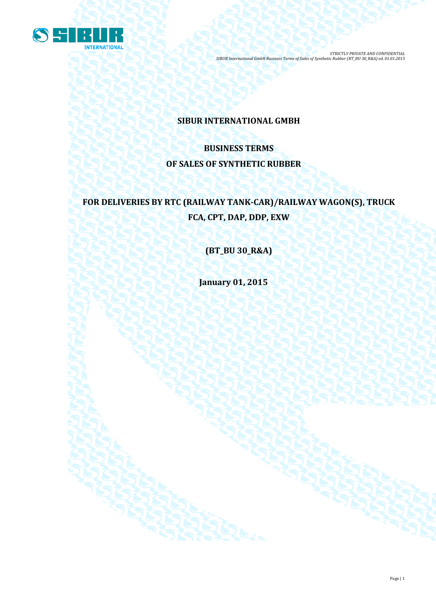

## **SIBUR INTERNATIONAL GMBH**

# **BUSINESS TERMS OF SALES OF SYNTHETIC RUBBER**

# **FOR DELIVERIES BY RTC (RAILWAY TANK-CAR)/RAILWAY WAGON(S), TRUCK FCA, CPT, DAP, DDP, EXW**

**(BT\_BU 30\_R&A)**

**January 01, 2015**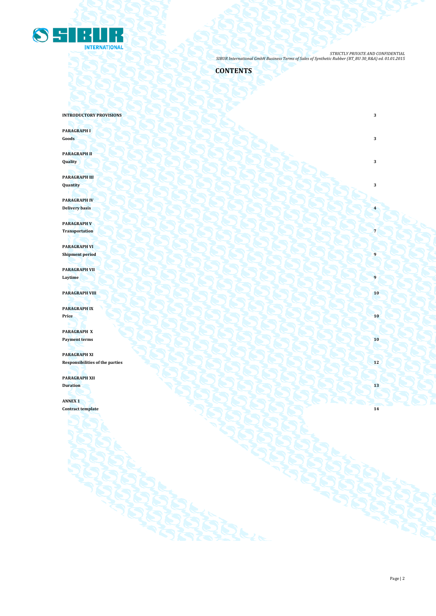

## **CONTENTS**

**INTRODUCTORY PROVISIONS** 3

**PARAGRAPH I Goods 3 3** 

**PARAGRAPH II Quality 3**

**PARAGRAPH III Quantity 3**

**PARAGRAPH IV Delivery basis 4**

**PARAGRAPH V Transportation 7**

**PARAGRAPH VI Shipment period** 

**PARAGRAPH VII Laytime 9 1 Contract in the second of the second of the second of the second of the second of the second of the second of the second of the second of the second of the second of the second of the second of the secon** 

**PARAGRAPH VIII 10** 

**PARAGRAPH IX Price 10**

**PARAGRAPH X Payment terms 10** 

**PARAGRAPH XI** Responsibilities of the parties **12** 

**PARAGRAPH XII**

**Duration 13**

**ANNEX 1 Contract template 14**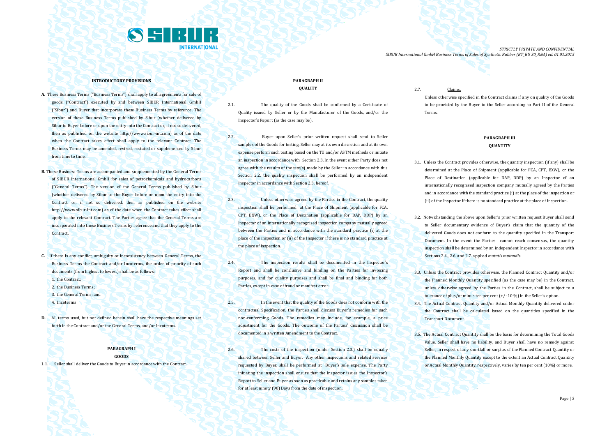

#### **INTRODUCTORY PROVISIONS**

- **A.** These Business Terms ("Business Terms") shall apply to all agreements for sale of goods ("Contract") executed by and between SIBUR International GmbH ("Sibur") and Buyer that incorporate these Business Terms by reference. The version of these Business Terms published by Sibur (whether delivered by Sibur to Buyer before or upon the entry into the Contract or, if not so delivered then as published on the website [http://www.sibur-int.com\)](http://www.sibur-int.com/) as of the date when the Contract takes effect shall apply to the relevant Contract. The Business Terms may be amended, revised, restated or supplemented by Sibur from time to time.
- **B.** These Business Terms are accompanied and supplemented by the General Terms of SIBUR International GmbH for sales of petrochemicals and hydrocarbons ("General Terms"). The version of the General Terms published by Sibur (whether delivered by Sibur to the Buyer before or upon the entry into the Contract or, if not so delivered, then as published on the website [http://www.sibur-int.com\)](http://www.sibur-int.com/) as of the date when the Contract takes effect shall apply to the relevant Contract. The Parties agree that the General Terms are incorporated into these Business Terms by reference and that they apply to the Contract.
- **C.** If there is any conflict, ambiguity or inconsistency between General Terms, the Business Terms the Contract and/or Incoterms, the order of priority of such documents (from highest to lowest) shall be as follows:
	- 1. the Contract:
	- 2. the Business Terms;
	- 3. the General Terms; and
	- 4. Incoterms
- **D.** All terms used, but not defined herein shall have the respective meanings set forth in the Contract and/or the General Terms, and/or Incoterms.

#### **PARAGRAPH I GOODS**

1.1. Seller shall deliver the Goods to Buyer in accordance with the Contract.

## **PARAGRAPH II QUALITY**

- 2.1. The quality of the Goods shall be confirmed by a Certificate of Quality issued by Seller or by the Manufacturer of the Goods, and/or the Inspector's Report (as the case may be).
- 2.2. Buyer upon Seller's prior written request shall send to Seller samples of the Goods for testing. Seller may at its own discretion and at its own expense perform such testing based on the TU and/or ASTM methods or initiate an inspection in accordance with Section 2.3. In the event either Party does not agree with the results of the test(s) made by the Seller in accordance with this Section 2.2, the quality inspection shall be performed by an independent Inspector in accordance with Section 2.3. hereof.
- 2.3. Unless otherwise agreed by the Parties in the Contract, the quality inspection shall be performed at the Place of Shipment (applicable for FCA, CPT, EXW), or the Place of Destination (applicable for DAP, DDP) by an Inspector of an internationally recognised inspection company mutually agreed between the Parties and in accordance with the standard practice (i) at the place of the inspection or (ii) of the Inspector if there is no standard practice at the place of inspection.
- 2.4. The inspection results shall be documented in the Inspector's Report and shall be conclusive and binding on the Parties for invoicing purposes, and for quality purposes and shall be final and binding for both Parties, except in case of fraud or manifest error.
- 2.5. In the event that the quality of the Goods does not conform with the contractual Specification, the Parties shall discuss Buyer's remedies for such non-conforming Goods. The remedies may include, for example, a price adjustment for the Goods. The outcome of the Parties' discussion shall be documented in a written Amendment to the Contract.
- 2.6. The costs of the inspection (under Section 2.3.) shall be equally shared between Seller and Buyer. Any other inspections and related services requested by Buyer, shall be performed at Buyer's sole expense. The Party initiating the inspection shall ensure that the Inspector issues the Inspector's Report to Seller and Buyer as soon as practicable and retains any samples taken for at least ninety (90) Days from the date of inspection.

2.7. Claims.

Unless otherwise specified in the Contract claims if any on quality of the Goods to be provided by the Buyer to the Seller according to Part II of the General Terms.

## **PARAGRAPH III QUANTITY**

- 3.1. Unless the Contract provides otherwise, the quantity inspection (if any) shall be determined at the Place of Shipment (applicable for FCA, CPT, EXW), or the Place of Destination (applicable for DAP, DDP) by an Inspector of an internationally recognised inspection company mutually agreed by the Parties and in accordance with the standard practice (i) at the place of the inspection or (ii) of the Inspector if there is no standard practice at the place of inspection.
- 3.2. Notwithstanding the above upon Seller's prior written request Buyer shall send to Seller documentary evidence of Buyer's claim that the quantity of the delivered Goods does not conform to the quantity specified in the Transport Document. In the event the Parties cannot reach consensus, the quantity inspection shall be determined by an independent Inspector in accordance with Sections 2.4., 2.6. and 2.7. applied *mutatis mutandis*.
- 3.3. Unless the Contract provides otherwise, the Planned Contract Quantity and/or the Planned Monthly Quantity specified (as the case may be) in the Contract, unless otherwise agreed by the Parties in the Contract, shall be subject to a tolerance of plus/or minus ten per cent (+/- 10 %) in the Seller's option.
- 3.4. The Actual Contract Quantity and/or Actual Monthly Quantity delivered under the Contract shall be calculated based on the quantities specified in the Transport Document.
- 3.5. The Actual Contract Quantity shall be the basis for determining the Total Goods Value. Seller shall have no liability, and Buyer shall have no remedy against Seller, in respect of any shortfall or surplus of the Planned Contract Quantity or the Planned Monthly Quantity except to the extent an Actual Contract Quantity or Actual Monthly Quantity, respectively, varies by ten per cent (10%) or more.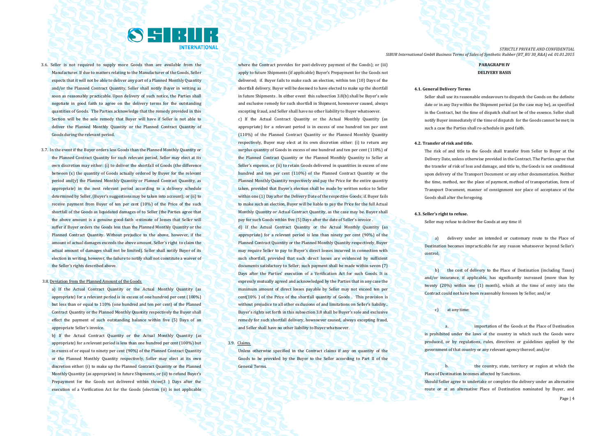

- 3.6. Seller is not required to supply more Goods than are available from the Manufacturer. If due to matters relating to the Manufacturer of the Goods, Seller expects that it will not be able to deliver any part of a Planned Monthly Quantity and/or the Planned Contract Quantity, Seller shall notify Buyer in writing as soon as reasonably practicable. Upon delivery of such notice, the Parties shall negotiate in good faith to agree on the delivery terms for the outstanding quantities of Goods. The Parties acknowledge that the remedy provided in this Section will be the sole remedy that Buyer will have if Seller is not able to deliver the Planned Monthly Quantity or the Planned Contract Quantity of Goods during the relevant period.
- 3.7. In the event if the Buyer orders less Goods than the Planned Monthly Quantity or the Planned Contract Quantity for such relevant period, Seller may elect at its own discretion may either: (i) to deliver the shortfall of Goods (the difference between (x) the quantity of Goods actually ordered by Buyer for the relevant period and(y) the Planned Monthly Quantity or Planned Contract Quantity, as appropriate) in the next relevant period according to a delivery schedule determined by Seller, (Buyer's suggestions may be taken into account); or (ii) to receive payment from Buyer of ten per cent (10%) of the Price of the such shortfall of the Goods as liquidated damages of to Seller (the Parties agree that the above amount is a genuine good-faith -estimate of losses that Seller will suffer if Buyer orders the Goods less than the Planned Monthly Quantity or the Planned Contract Quantity. Without prejudice to the above, however, if the amount of actual damages exceeds the above amount, Seller's right to claim the actual amount of damages shall not be limited). Seller shall notify Buyer of its election in writing, however, the failure to notify shall not constitute a waiver of the Seller's rights described above.

#### 3.8. Deviation from the Planned Amount of the Goods

a) If the Actual Contract Quantity or the Actual Monthly Quantity (as appropriate) for a relevant period is in excess of one hundred per cent (100%) but less than or equal to 110% (one hundred and ten per cent) of the Planned Contract Quantity or the Planned Monthly Quantity respectively the Buyer shall effect the payment of such outstanding balance within five (5) Days of an appropriate Seller's invoice.

b) If the Actual Contract Quantity or the Actual Monthly Quantity (as appropriate) for a relevant period is less than one hundred per cent (100%) but in excess of or equal to ninety per cent (90%) of the Planned Contract Quantity or the Planned Monthly Quantity respectively, Seller may elect at its own discretion either: (i) to make up the Planned Contract Quantity or the Planned Monthly Quantity (as appropriate) in future Shipments, or (ii) to refund Buyer's Prepayment for the Goods not delivered within three(3 ) Days after the execution of a Verification Act for the Goods (election (ii) is not applicable

where the Contract provides for post-delivery payment of the Goods); or (iii) apply to future Shipments (if applicable) Buyer's Prepayment for the Goods not delivered; if. Buyer fails to make such an election, within ten (10) Days of the shortfall delivery, Buyer will be deemed to have elected to make up the shortfall in future Shipments . In either event this subsection 3.8(b) shall be Buyer's sole and exclusive remedy for such shortfall in Shipment, howsoever caused, always excepting fraud, and Seller shall have no other liability to Buyer whatsoever. c) If the Actual Contract Quantity or the Actual Monthly Quantity (as appropriate) for a relevant period is in excess of one hundred ten per cent (110%) of the Planned Contract Quantity or the Planned Monthly Quantity respectively, Buyer may elect at its own discretion either: (i) to return any surplus quantity of Goods in excess of one hundred and ten per cent (110%) of the Planned Contract Quantity or the Planned Monthly Quantity to Seller at Seller's expense, or (ii) to retain Goods delivered in quantities in excess of one hundred and ten per cent (110%) of the Planned Contract Quantity or the Planned Monthly Quantity respectively and pay the Price for the entire quantity taken, provided that Buyer's election shall be made by written notice to Seller within one (1) Day after the Delivery Date of the respective Goods; if. Buyer fails to make such an election, Buyer will be liable to pay the Price for the full Actual Monthly Quantity or Actual Contract Quantity, as the case may be. Buyer shall pay for such Goods within five (5) Days after the date of Seller's invoice

d) If the Actual Contract Quantity or the Actual Monthly Quantity (as appropriate) for a relevant period is less than ninety per cent (90%) of the Planned Contract Quantity or the Planned Monthly Quantity respectively, Buyer may require Seller to pay to Buyer's direct losses incurred in connection with such shortfall, provided that such direct losses are evidenced by sufficient documents satisfactory to Seller; such payment shall be made within seven (7) Days after the Parties' execution of a Verification Act for such Goods. It is expressly mutually agreed and acknowledged by the Parties that in any case the maximum amount of direct losses payable by Seller may not exceed ten per cent(10% ) of the Price of the shortfall quantity of Goods . This provision is without prejudice to all other exclusions of and limitations on Seller's liability.. Buyer's rights set forth in this subsection 3.8 shall be Buyer's sole and exclusive remedy for such shortfall delivery, howsoever caused, always excepting fraud, and Seller shall have no other liability to Buyer whatsoever.

#### 3.9. Claims.

Unless otherwise specified in the Contract claims if any on quantity of the Goods to be provided by the Buyer to the Seller according to Part II of the General Terms.

*STRICTLY PRIVATE AND CONFIDENTIAL SIBUR International GmbH Business Terms of Sales of Synthetic Rubber (BT\_BU 30\_R&A) ed. 01.01.2015*

## **PARAGRAPH IV DELIVERY BASIS**

#### **4.1. General Delivery Terms**

Seller shall use its reasonable endeavours to dispatch the Goods on the definite date or in any Day within the Shipment period (as the case may be), as specified in the Contract, but the time of dispatch shall not be of the essence. Seller shall notify Buyer immediately if the time of dispatch for the Goods cannot be met; in such a case the Parties shall re-schedule in good faith.

#### **4.2. Transfer of risk and title.**

The risk of and title to the Goods shall transfer from Seller to Buyer at the Delivery Date, unless otherwise provided in the Contract. The Parties agree that the transfer of risk of loss and damage, and title to, the Goods is not conditional upon delivery of the Transport Document or any other documentation. Neither the time, method, nor the place of payment, method of transportation, form of Transport Document, manner of consignment nor place of acceptance of the Goods shall alter the foregoing.

#### **4.3. Seller's right to refuse.**

Seller may refuse to deliver the Goods at any time if:

a) delivery under an intended or customary route to the Place of Destination becomes impracticable for any reason whatsoever beyond Seller's control;

b) the cost of delivery to the Place of Destination (including Taxes) and/or insurance, if applicable, has significantly increased (more than by twenty (20%) within one (1) month), which at the time of entry into the Contract could not have been reasonably foreseen by Seller; and/or

#### c) at any time:

importation of the Goods at the Place of Destination is prohibited under the laws of the country in which such the Goods were produced, or by regulations, rules, directives or guidelines applied by the government of that country or any relevant agency thereof; and/or

b. the country, state, territory or region at which the Place of Destination becomes affected by Sanctions.

Should Seller agree to undertake or complete the delivery under an alternative route or at an alternative Place of Destination nominated by Buyer, and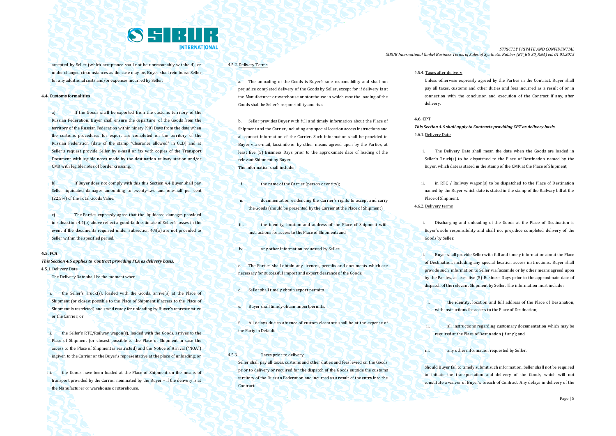

accepted by Seller (which acceptance shall not be unreasonably withheld), or under changed circumstances as the case may be, Buyer shall reimburse Seller for any additional costs and/or expenses incurred by Seller.

#### **4.4. Customs formalities**

a) If the Goods shall be exported from the customs territory of the Russian Federation, Buyer shall ensure the departure of the Goods from the territory of the Russian Federation within ninety (90) Days from the date when the customs procedures for export are completed on the territory of the Russian Federation (date of the stamp "Clearance allowed" in CCD) and at Seller's request provide Seller by e-mail or fax with copies of the Transport Document with legible notes made by the destination railway station and/or CMR with legible notes of border crossing.

b) If Buyer does not comply with this this Section 4.4 Buyer shall pay Seller liquidated damages amounting to twenty-two and one-half per cent (22,5%) of the Total Goods Value.

c) The Parties expressly agree that the liquidated damages provided in subsection 4.4(b) above reflect a good-faith estimate of Seller's losses in the event if the documents required under subsection 4.4(a) are not provided to Seller within the specified period.

## **4.5. FCA**

*This Section 4.5 applies to Contract providing FCA as delivery basis.* 4.5.1. Delivery Date

The Delivery Date shall be the moment when:

i. the Seller's Truck(s), loaded with the Goods, arrive(s) at the Place of Shipment (or closest possible to the Place of Shipment if access to the Place of Shipment is restricted) and stand ready for unloading by Buyer's representative or the Carrier; or

the Seller's RTC/Railway wagon(s), loaded with the Goods, arrives to the Place of Shipment (or closest possible to the Place of Shipment in case the access to the Place of Shipment is restricted) and the Notice of Arrival ("NOA") is given to the Carrier or the Buyer's representative at the place of unloading; or

iii. the Goods have been loaded at the Place of Shipment on the means of transport provided by the Carrier nominated by the Buyer – if the delivery is at the Manufacturer or warehouse or storehouse.

## 4.5.2. Delivery Terms

a. The unloading of the Goods is Buyer's sole responsibility and shall not prejudice completed delivery of the Goods by Seller, except for if delivery is at the Manufacturer or warehouse or storehouse in which case the loading of the Goods shall be Seller's responsibility and risk.

b. Seller provides Buyer with full and timely information about the Place of Shipment and the Carrier, including any special location access instructions and all contact information of the Carrier. Such information shall be provided to Buyer via e-mail, facsimile or by other means agreed upon by the Parties, at least five (5) Business Days prior to the approximate date of loading of the relevant Shipment by Buyer. The information shall include:

- i. the name of the Carrier (person or entity):
- ii. documentation evidencing the Carrier's rights to accept and carry the Goods (should be presented by the Carrier at the Place of Shipment)
- iii. **the identity, location and address of the Place of Shipment with** instructions for access to the Place of Shipment; and
- iv. any other information requested by Seller.
- c. The Parties shall obtain any licences, permits and documents which are necessary for successful import and export clearance of the Goods.
- d. Seller shall timely obtain export permits.
- e. Buyer shall timely obtain importpermits.
- f. All delays due to absence of custom clearance shall be at the expense of the Party in Default.

## 4.5.3. Taxes prior to delivery

Seller shall pay all taxes, customs and other duties and fees levied on the Goods prior to delivery or required for the dispatch of the Goods outside the customs territory of the Russian Federation and incurred as a result of the entry into the **Contract.** 

*STRICTLY PRIVATE AND CONFIDENTIAL SIBUR International GmbH Business Terms of Sales of Synthetic Rubber (BT\_BU 30\_R&A) ed. 01.01.2015*

#### 4.5.4. Taxes after delivery

Unless otherwise expressly agreed by the Parties in the Contract, Buyer shall pay all taxes, customs and other duties and fees incurred as a result of or in connection with the conclusion and execution of the Contract if any, after delivery.

#### **4.6. CPT**

*This Section 4.6 shall apply to Contracts providing CPT as delivery basis.* 4.6.1. Delivery Date

- i. The Delivery Date shall mean the date when the Goods are loaded in Seller's Truck(s) to be dispatched to the Place of Destination named by the Buyer, which date is stated in the stamp of the CMR at the Place of Shipment;
- ii. in RTC / Railway wagon(s) to be dispatched to the Place of Destination named by the Buyer which date is stated in the stamp of the Railway bill at the Place of Shipment. 4.6.2. Delivery terms

i. Discharging and unloading of the Goods at the Place of Destination is Buyer's sole responsibility and shall not prejudice completed delivery of the Goods by Seller.

- ii. Buyer shall provide Seller with full and timely information about the Place of Destination, including any special location access instructions. Buyer shall provide such information to Seller via facsimile or by other means agreed upon by the Parties, at least five (5) Business Days prior to the approximate date of dispatch of the relevant Shipment by Seller. The information must include:
	- the identity, location and full address of the Place of Destination. with instructions for access to the Place of Destination;
	- all instructions regarding customary documentation which may be required at the Place of Destination (if any); and
- iii. **All any other information requested by Seller.**

Should Buyer fail to timely submit such information, Seller shall not be required to initiate the transportation and delivery of the Goods, which will not constitute a waiver of Buyer's breach of Contract. Any delays in delivery of the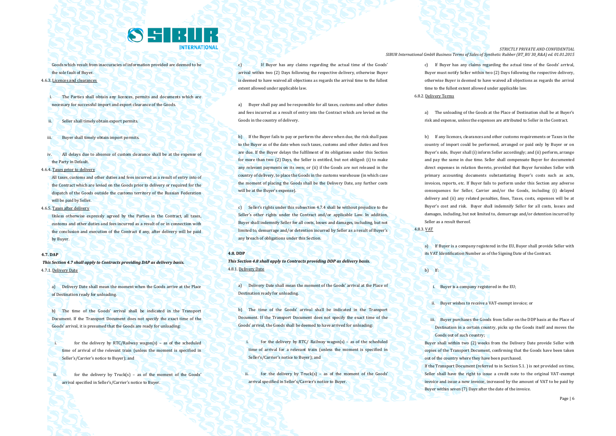

Goods which result from inaccuracies of information provided are deemed to be the sole fault of Buyer.

## 4.6.3. Licences and clearances

The Parties shall obtain any licences, permits and documents which are necessary for successful import and export clearance of the Goods.

- Seller shall timely obtain export permits.
- iii. Buyer shall timely obtain import permits.
- iv. All delays due to absence of custom clearance shall be at the expense of the Party in Default.
- 4.6.4. Taxes prior to delivery

All taxes, customs and other duties and fees incurred as a result of entry into of the Contract which are levied on the Goods prior to delivery or required for the dispatch of the Goods outside the customs territory of the Russian Federation will be paid by Seller.

4.6.5. Taxes after delivery

Unless otherwise expressly agreed by the Parties in the Contract, all taxes, customs and other duties and fees incurred as a result of or in connection with the conclusion and execution of the Contract if any, after delivery will be paid by Buyer.

#### **4.7. DAP**

*This Section 4.7 shall apply to Contracts providing DAP as delivery basis.* 4.7.1. Delivery Date

a) Delivery Date shall mean the moment when the Goods arrive at the Place of Destination ready for unloading.

b) The time of the Goods' arrival shall be indicated in the Transport Document. If the Transport Document does not specify the exact time of the Goods' arrival, it is presumed that the Goods are ready for unloading:

i. for the delivery by RTC/Railway wagon(s) – as of the scheduled time of arrival of the relevant train (unless the moment is specified in Seller's/Carrier's notice to Buyer); and

ii. for the delivery by Truck(s) – as of the moment of the Goods' arrival specified in Seller's/Carrier's notice to Buyer.

c) If Buyer has any claims regarding the actual time of the Goods' arrival within two (2) Days following the respective delivery, otherwise Buyer is deemed to have waived all objections as regards the arrival time to the fullest extent allowed under applicable law.

a) Buyer shall pay and be responsible for all taxes, customs and other duties and fees incurred as a result of entry into the Contract which are levied on the Goods in the country of delivery.

b) If the Buyer fails to pay or perform the above when due, the risk shall pass to the Buyer as of the date when such taxes, customs and other duties and fees are due. If the Buyer delays the fulfilment of its obligations under this Section for more than two (2) Days, the Seller is entitled, but not obliged: (i) to make any relevant payments on its own; or (ii) if the Goods are not released in the country of delivery, to place the Goods in the customs warehouse (in which case the moment of placing the Goods shall be the Delivery Date, any further costs will be at the Buyer's expense).

c) Seller's rights under this subsection 4.7.4 shall be without prejudice to the Seller's other rights under the Contract and/or applicable Law. In addition, Buyer shall indemnify Seller for all costs, losses and damages, including, but not limited to, demurrage and/or detention incurred by Seller as a result of Buyer's any breach of obligations under this Section.

#### **4.8. DDP**

*This Section 4.8 shall apply to Contracts providing DDP as delivery basis.* 4.8.1. Delivery Date

a) Delivery Date shall mean the moment of the Goods' arrival at the Place of Destination ready for unloading.

b) The time of the Goods' arrival shall be indicated in the Transport Document. If the Transport Document does not specify the exact time of the Goods' arrival, the Goods shall be deemed to have arrived for unloading:

for the delivery by RTC/ Railway wagon(s) – as of the scheduled time of arrival for a relevant train (unless the moment is specified in Seller's/Carrier's notice to Buyer); and

ii. for the delivery by Truck(s) – as of the moment of the Goods' arrival specified in Seller's/Carrier's notice to Buyer.

*STRICTLY PRIVATE AND CONFIDENTIAL SIBUR International GmbH Business Terms of Sales of Synthetic Rubber (BT\_BU 30\_R&A) ed. 01.01.2015*

> c) If Buyer has any claims regarding the actual time of the Goods' arrival, Buyer must notify Seller within two (2) Days following the respective delivery, otherwise Buyer is deemed to have waived all objections as regards the arrival time to the fullest extent allowed under applicable law.

### 6.8.2. Delivery Terms

a) The unloading of the Goods at the Place of Destination shall be at Buyer's risk and expense, unless the expenses are attributed to Seller in the Contract.

b) If any licences, clearances and other customs requirements or Taxes in the country of import could be performed, arranged or paid only by Buyer or on Buyer's side, Buyer shall (i) inform Seller accordingly; and (ii) perform, arrange and pay the same in due time. Seller shall compensate Buyer for documented direct expenses in relation thereto, provided that Buyer furnishes Seller with primary accounting documents substantiating Buyer's costs such as acts, invoices, reports, etc. If Buyer fails to perform under this Section any adverse consequences for Seller, Carrier and/or the Goods, including (i) delayed delivery and (ii) any related penalties, fines, Taxes, costs, expenses will be at Buyer's cost and risk. Buyer shall indemnify Seller for all costs, losses and damages, including, but not limited to, demurrage and/or detention incurred by Seller as a result thereof.

4.8.3. VAT

a) If Buyer is a company registered in the EU, Buyer shall provide Seller with its VAT Identification Number as of the Signing Date of the Contract.

b) If:

i. Buyer is a company registered in the EU;

ii. Buyer wishes to receive a VAT-exempt invoice; or

iii. Buyer purchases the Goods from Seller on the DDP basis at the Place of Destination in a certain country, picks up the Goods itself and moves the Goods out of such country;

Buyer shall within two (2) weeks from the Delivery Date provide Seller with copies of the Transport Document, confirming that the Goods have been taken out of the country where they have been purchased.

If the Transport Document (referred to in Section 5.1. ) is not provided on time, Seller shall have the right to issue a credit note to the original VAT-exempt invoice and issue a new invoice, increased by the amount of VAT to be paid by Buyer within seven (7) Days after the date of the invoice.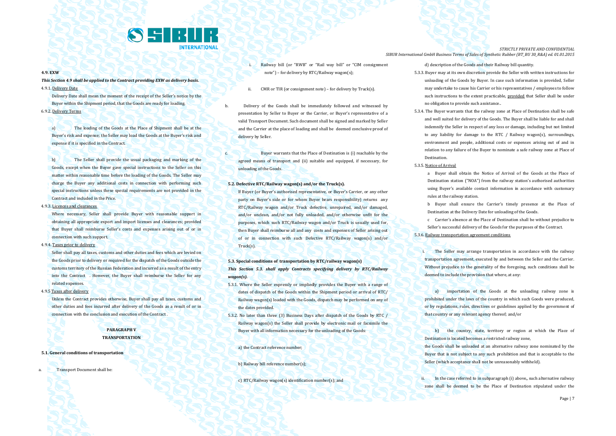

#### **4.9. EXW**

*This Section 4.9 shall be applied to the Contract providing EXW as delivery basis.* 4.9.1. Delivery Date

Delivery Date shall mean the moment of the receipt of the Seller's notice by the Buyer within the Shipment period, that the Goods are ready for loading. 6.9.2. Delivery Terms

a) The loading of the Goods at the Place of Shipment shall be at the Buyer's risk and expense; the Seller may load the Goods at the Buyer's risk and expense if it is specified in the Contract.

b) The Seller shall provide the usual packaging and marking of the Goods, except when the Buyer gave special instructions to the Seller on this matter within reasonable time before the loading of the Goods. The Seller may charge the Buyer any additional costs in connection with performing such special instructions unless these special requirements are not provided in the Contract and included in the Price.

## 4.9.3. Licences and clearances

Where necessary, Seller shall provide Buyer with reasonable support in obtaining all appropriate export and import licenses and clearances; provided that Buyer shall reimburse Seller's costs and expenses arising out of or in connection with such support.

4.9.4. Taxes prior to delivery

Seller shall pay all taxes, customs and other duties and fees which are levied on the Goods prior to delivery or required for the dispatch of the Goods outside the customs territory of the Russian Federation and incurred as a result of the entry into the Contract . However, the Buyer shall reimburse the Seller for any related expenses.

4.9.5 Taxes after delivery

Unless the Contract provides otherwise, Buyer shall pay all taxes, customs and other duties and fees incurred after delivery of the Goods as a result of or in connection with the conclusion and execution of the Contract .

## **PARAGRAPH V TRANSPORTATION**

#### **5.1. General conditions of transportation**

**Transport Document shall be:** 

- i. Railway bill (or "RWB" or "Rail way bill" or "CIM consignment note") – for delivery by RTC/Railway wagon(s);
- ii. CMR or TIR (or consignment note) for delivery by Truck(s).

b. Delivery of the Goods shall be immediately followed and witnessed by presentation by Seller to Buyer or the Carrier, or Buyer's representative of a valid Transport Document. Such document shall be signed and marked by Seller and the Carrier at the place of loading and shall be deemed conclusive proof of delivery by Seller.

c. Buyer warrants that the Place of Destination is (i) reachable by the agreed means of transport and (ii) suitable and equipped, if necessary, for unloading of the Goods.

#### **5.2. Defective RTC/Railway wagon(s) and/or the Truck(s).**

If Buyer (or Buyer's authorised representative, or Buyer's Carrier, or any other party on Buyer's side or for whom Buyer bears responsibility) returns any RTC/Railway wagon and/or Truck defective, unrepaired, and/or damaged, and/or unclean, and/or not fully unloaded, and/or otherwise unfit for the purposes, which such RTC/Railway wagon and/or Truck is usually used for, then Buyer shall reimburse all and any costs and expenses of Seller arising out of or in connection with such Defective RTC/Railway wagon(s) and/or Truck(s).

## **5.3. Special conditions of transportation by RTC/railway wagon(s)** *This Section 5.3. shall apply Contracts specifying delivery by RTC/Railway wagon(s).*

- 5.3.1. Where the Seller expressly or impliedly provides the Buyer with a range of dates of dispatch of the Goods within the Shipment period or arrival of RTC/ Railway wagon(s) loaded with the Goods, dispatch may be performed on any of the dates provided.
- 5.3.2. No later than three (3) Business Days after dispatch of the Goods by RTC / Railway wagon(s) the Seller shall provide by electronic mail or facsimile the Buyer with all information necessary for the unloading of the Goods:

a) the Contract reference number;

#### b) Railway bill reference number(s);

c) RTC/Railway wagon(s) identification number(s); and

*STRICTLY PRIVATE AND CONFIDENTIAL SIBUR International GmbH Business Terms of Sales of Synthetic Rubber (BT\_BU 30\_R&A) ed. 01.01.2015*

d) description of the Goods and their Railway bill quantity.

- 5.3.3. Buyer may at its own discretion provide the Seller with written instructions for unloading of the Goods by Buyer. In case such information is provided, Seller may undertake to cause his Carrier or his representatives / employees to follow such instructions to the extent practicable, provided that Seller shall be under no obligation to provide such assistance..
- 5.3.4. The Buyer warrants that the railway zone at Place of Destination shall be safe and well suited for delivery of the Goods. The Buyer shall be liable for and shall indemnify the Seller in respect of any loss or damage, including but not limited to any liability for damage to the RTC / Railway wagon(s), surroundings, environment and people, additional costs or expenses arising out of and in relation to any failure of the Buyer to nominate a safe railway zone at Place of **Destination**
- 5.3.5. Notice of Arrival

a Buyer shall obtain the Notice of Arrival of the Goods at the Place of Destination station ("NOA") from the railway station's authorised authorities using Buyer's available contact information in accordance with customary rules at the railway station.

b Buyer shall ensure the Carrier's timely presence at the Place of Destination at the Delivery Date for unloading of the Goods.

c Carrier's absence at the Place of Destination shall be without prejudice to Seller's successful delivery of the Goods for the purposes of the Contract. 5.3.6. Railway transportation agreement conditions

**i.** The Seller may arrange transportation in accordance with the railway transportation agreement, executed by and between the Seller and the Carrier. Without prejudice to the generality of the foregoing, such conditions shall be deemed to include the provision that where, at any:

a) importation of the Goods at the unloading railway zone is prohibited under the laws of the country in which such Goods were produced, or by regulations, rules, directives or guidelines applied by the government of that country or any relevant agency thereof; and/or

b) the country, state, territory or region at which the Place of Destination is located becomes a restricted railway zone,

the Goods shall be unloaded at an alternative railway zone nominated by the Buyer that is not subject to any such prohibition and that is acceptable to the Seller (which acceptance shall not be unreasonably withheld).

ii. In the case referred to in subparagraph (i) above,, such alternative railway zone shall be deemed to be the Place of Destination stipulated under the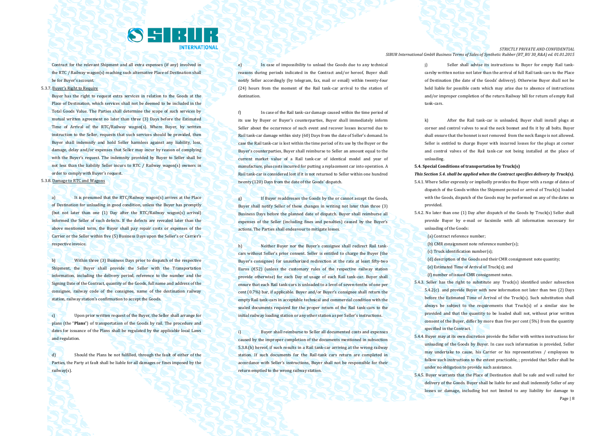

Contract for the relevant Shipment and all extra expenses (if any) involved in the RTC / Railway wagon(s) reaching such alternative Place of Destination shall be for Buyer's account.

5.3.7. Buyer's Right to Require

Buyer has the right to request extra services in relation to the Goods at the Place of Destination, which services shall not be deemed to be included in the Total Goods Value. The Parties shall determine the scope of such services by mutual written agreement no later than three (3) Days before the Estimated Time of Arrival of the RTC/Railway wagon(s). Where Buyer, by written instruction to the Seller, requests that such services should be provided, then Buyer shall indemnify and hold Seller harmless against any liability, loss, damage, delay and/or expenses that Seller may incur by reason of complying with the Buyer's request. The indemnity provided by Buyer to Seller shall be not less than the liability Seller incurs to RTC / Railway wagon(s) owners in order to comply with Buyer's request.

## 5.3.8. Damage to RTC and Wagons

a) It is presumed that the RTC/Railway wagon(s) arrives at the Place of Destination for unloading in good condition, unless the Buyer has promptly (but not later than one (1) Day after the RTC/Railway wagon(s) arrival) informed the Seller of such defects. If the defects are revealed later than the above mentioned term, the Buyer shall pay repair costs or expenses of the Carrier or the Seller within five (5) Business Days upon the Seller's or Carrier's respective invoice.

b) Within three (3) Business Days prior to dispatch of the respective Shipment, the Buyer shall provide the Seller with the Transportation information, including the delivery period, reference to the number and the Signing Date of the Contract, quantity of the Goods, full name and address of the consignee, railway code of the consignee, name of the destination railway station, railway station's confirmation to accept the Goods.

c) Upon prior written request of the Buyer, the Seller shall arrange for plans (the "**Plans**") of transportation of the Goods by rail. The procedure and dates for issuance of the Plans shall be regulated by the applicable local Laws and regulation.

d) Should the Plans be not fulfilled, through the fault of either of the Parties, the Party at fault shall be liable for all damages or fines imposed by the railway(s).

e) In case of impossibility to unload the Goods due to any technical reasons during periods indicated in the Contract and/or hereof. Buyer shall notify Seller accordingly (by telegram, fax, mail or email) within twenty-four (24) hours from the moment of the Rail tank-car arrival to the station of destination.

f) In case of the Rail tank-car damage caused within the time period of its use by Buyer or Buyer's counterparties, Buyer shall immediately inform Seller about the occurrence of such event and recover losses incurred due to Rail tank-car damage within sixty (60) Days from the date of Seller's demand. In case the Rail tank-car is lost within the time period of its use by the Buyer or the Buyer's counterparties, Buyer shall reimburse to Seller an amount equal to the current market value of a Rail tank-car of identical model and year of manufacture, plus costs incurred for putting a replacement car into operation. A Rail tank-car is considered lost if it is not returned to Seller within one hundred twenty (120) Days from the date of the Goods' dispatch.

g) If Buyer readdresses the Goods by the or cannot accept the Goods, Buyer shall notify Seller of these changes in writing not later than three (3) Business Days before the planned date of dispatch. Buyer shall reimburse all expenses of the Seller (including fines and penalties) caused by the Buyer's actions. The Parties shall endeavour to mitigate losses.

h) Neither Buyer nor the Buyer's consignee shall redirect Rail tankcars without Seller's prior consent. Seller is entitled to charge the Buyer (the Buyer's consignee) for unauthorized redirection at the rate at least fifty-two Euros (€52) (unless the customary rules of the respective railway station provide otherwise) for each Day of usage of each Rail tank-car. Buyer shall ensure that each Rail tank-cars is unloaded to a level of seven-tenths of one per cent (0.7%) bar, if applicable. Buyer and/or Buyer's consignee shall return the empty Rail tank-cars in acceptable technical and commercial condition with the sealed documents required for the proper return of the Rail tank-cars to the initial railway loading station or any other station as per Seller's instructions.

i) Buyer shall reimburse to Seller all documented costs and expenses caused by the improper completion of the documents mentioned in subsection 5.3.8.(h) hereof, if such results in a Rail tank-car arriving at the wrong railway station. If such documents for the Rail-tank cars return are completed in accordance with Seller's instructions, Buyer shall not be responsible for their return emptied to the wrong railway station.

*STRICTLY PRIVATE AND CONFIDENTIAL SIBUR International GmbH Business Terms of Sales of Synthetic Rubber (BT\_BU 30\_R&A) ed. 01.01.2015*

> j) Seller shall advise its instructions to Buyer for empty Rail tankcarsby written notice not later than the arrival of full Rail tank-cars to the Place of Destination (the date of the Goods' delivery). Otherwise Buyer shall not be held liable for possible costs which may arise due to absence of instructions and/or improper completion of the return Railway bill for return of empty Rail tank-cars.

> k) After the Rail tank-car is unloaded, Buyer shall install plugs at corner and control valves to seal the neck bonnet and fix it by all bolts. Buyer shall ensure that the bonnet is not removed from the neck flange is not allowed. Seller is entitled to charge Buyer with incurred losses for the plugs at corner and control valves of the Rail tank-car not being installed at the place of unloading.

**5.4. Special Conditions of transportation by Truck(s)** 

*This Section 5.4. shall be applied when the Contract specifies delivery by Truck(s).*

- 5.4.1. Where Seller expressly or impliedly provides the Buyer with a range of dates of dispatch of the Goods within the Shipment period or arrival of Truck(s) loaded with the Goods, dispatch of the Goods may be performed on any of the dates so provided.
- 5.4.2. No later than one (1) Day after dispatch of the Goods by Truck(s) Seller shall provide Buyer by e-mail or facsimile with all information necessary for unloading of the Goods:

(a) Contract reference number;

- (b) CMR consignment note reference number(s);
- (c) Truck identification number(s);

(d) description of the Goods and their CMR consignment note quantity;

(e) Estimated Time of Arrival of Truck(s); and

(f) number of issued CMR consignment notes.

- 5.4.3. Seller has the right to substitute any Truck(s) identified under subsection 5.4.2(c) and provide Buyer with new information not later than two (2) Days before the Estimated Time of Arrival of the Truck(s). Such substitution shall always be subject to the requirements that Truck(s) of a similar size be provided and that the quantity to be loaded shall not, without prior written consent of the Buyer, differ by more than five per cent (5%) from the quantity specified in the Contract.
- 5.4.4. Buyer may at its own discretion provide the Seller with written instructions for unloading of the Goods by Buyer. In case such information is provided, Seller may undertake to cause, his Carrier or his representatives / employees to follow such instructions to the extent practicable, ; provided that Seller shall be under no obligation to provide such assistance.
- Page | 8 5.4.5. Buyer warrants that the Place of Destination shall be safe and well suited for delivery of the Goods. Buyer shall be liable for and shall indemnify Seller of any losses or damage, including but not limited to any liability for damage to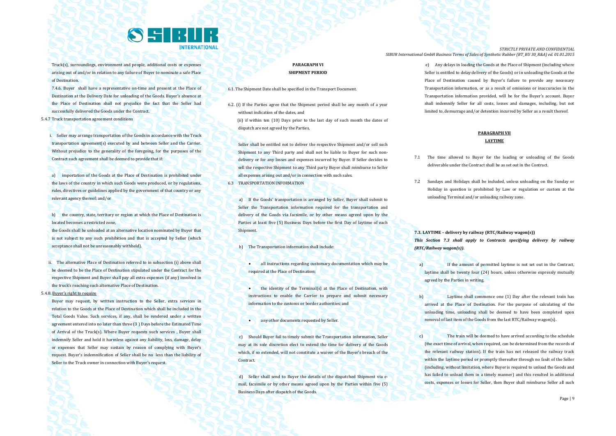

Truck(s), surroundings, environment and people, additional costs or expenses arising out of and/or in relation to any failure of Buyer to nominate a safe Place of Destination.

7.4.6. Buyer shall have a representative on-time and present at the Place of Destination at the Delivery Date for unloading of the Goods. Buyer's absence at the Place of Destination shall not prejudice the fact that the Seller had successfully delivered the Goods under the Contract.

5.4.7 Truck transportation agreement conditions

i. Seller may arrange transportation of the Goods in accordance with the Truck transportation agreement(s) executed by and between Seller and the Carrier. Without prejudice to the generality of the foregoing, for the purposes of the Contract such agreement shall be deemed to provide that if:

a) importation of the Goods at the Place of Destination is prohibited under the laws of the country in which such Goods were produced, or by regulations, rules, directives or guidelines applied by the government of that country or any relevant agency thereof; and/or

b) the country, state, territory or region at which the Place of Destination is located becomes a restricted zone,

the Goods shall be unloaded at an alternative location nominated by Buyer that is not subject to any such prohibition and that is accepted by Seller (which acceptance shall not be unreasonably withheld).

ii. The alternative Place of Destination referred to in subsection (i) above shall be deemed to be the Place of Destination stipulated under the Contract for the respective Shipment and Buyer shall pay all extra expenses (if any) involved in the truck's reaching such alternative Place of Destination.

5.4.8. Buyer's right to require

Buyer may request, by written instruction to the Seller, extra services in relation to the Goods at the Place of Destination which shall be included in the Total Goods Value. Such services, if any, shall be rendered under a written agreement entered into no later than three (3 ) Days before the Estimated Time of Arrival of the Truck(s). Where Buyer requests such services , Buyer shall indemnify Seller and hold it harmless against any liability, loss, damage, delay or expenses that Seller may sustain by reason of complying with Buyer's request. Buyer's indemnification of Seller shall be no less than the liability of Seller to the Truck owner in connection with Buyer's request.

## **PARAGRAPH VI SHIPMENT PERIOD**

6.1. The Shipment Date shall be specified in the Transport Document.

6.2. (i) If the Parties agree that the Shipment period shall be any month of a year without indication of the dates, and

 (ii) if within ten (10) Days prior to the last day of such month the dates of dispatch are not agreed by the Parties,

Seller shall be entitled not to deliver the respective Shipment and/or sell such Shipment to any Third party and shall not be liable to Buyer for such nondelivery or for any losses and expenses incurred by Buyer. If Seller decides to sell the respective Shipment to any Third party Buyer shall reimburse to Seller all expenses arising out and/or in connection with such sales.

6.3 TRANSPORTATION INFORMATION

a) If the Goods' transportation is arranged by Seller, Buyer shall submit to Seller the Transportation information required for the transportation and delivery of the Goods via facsimile, or by other means agreed upon by the Parties at least five (5) Business Days before the first Day of laytime of each Shipment.

b) The Transportation information shall include:

 all instructions regarding customary documentation which may be required at the Place of Destination;

- **the identity of the Terminal(s) at the Place of Destination, with** instructions to enable the Carrier to prepare and submit necessary information to the customs or border authorities; and
- **any other documents requested by Seller.**

c) Should Buyer fail to timely submit the Transportation information, Seller may at its sole discretion elect to extend the time for delivery of the Goods which, if so extended, will not constitute a waiver of the Buyer's breach of the Contract.

d) Seller shall send to Buyer the details of the dispatched Shipment via email, facsimile or by other means agreed upon by the Parties within five (5) Business Days after dispatch of the Goods.

*STRICTLY PRIVATE AND CONFIDENTIAL SIBUR International GmbH Business Terms of Sales of Synthetic Rubber (BT\_BU 30\_R&A) ed. 01.01.2015*

> e) Any delays in loading the Goods at the Place of Shipment (including where Seller is entitled to delay delivery of the Goods) or in unloading the Goods at the Place of Destination caused by Buyer's failure to provide any necessary Transportation information, or as a result of omissions or inaccuracies in the Transportation information provided, will be for the Buyer's account. Buyer shall indemnify Seller for all costs, losses and damages, including, but not limited to, demurrage and/or detention incurred by Seller as a result thereof.

## **PARAGRAPH VII LAYTIME**

- 7.1 The time allowed to Buyer for the loading or unloading of the Goods deliverable under the Contract shall be as set out in the Contract.
- 7.2 Sundays and Holidays shall be included, unless unloading on the Sunday or Holiday in question is prohibited by Law or regulation or custom at the unloading Terminal and/or unloading railway zone.

**7.3. LAYTIME – delivery by railway (RTC/Railway wagon(s))** *This Section 7.3 shall apply to Contracts specifying delivery by railway (RTC/Railway wagon(s)).*

- a) If the amount of permitted laytime is not set out in the Contract, laytime shall be twenty four (24) hours, unless otherwise expressly mutually agreed by the Parties in writing.
- b) Laytime shall commence one (1) Day after the relevant train has arrived at the Place of Destination. For the purpose of calculating of the unloading time, unloading shall be deemed to have been completed upon removal of last item of the Goods from the last RTC/Railway wagon(s).
- c) The train will be deemed to have arrived according to the schedule (the exact time of arrival, when required, can be determined from the records of the relevant railway station). If the train has not released the railway track within the laytime period or promptly thereafter through no fault of the Seller (including, without limitation, where Buyer is required to unload the Goods and has failed to unload them in a timely manner) and this resulted in additional costs, expenses or losses for Seller, then Buyer shall reimburse Seller all such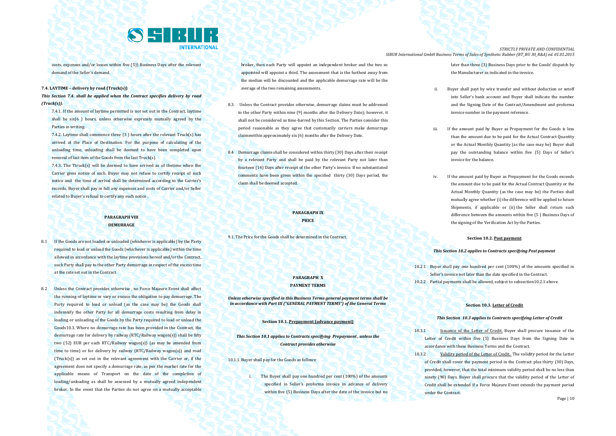

costs, expenses and/or losses within five (5)) Business Days after the relevant demand of the Seller's demand.

#### **7.4. LAYTIME – delivery by road (Truck(s))**

*This Section 7.4. shall be applied when the Contract specifies delivery by road (Truck(s)).*

7.4.1. If the amount of laytime permitted is not set out in the Contract, laytime shall be six(6 ) hours, unless otherwise expressly mutually agreed by the Parties in writing.

7.4.2. Laytime shall commence three (3 ) hours after the relevant Truck(s) has arrived at the Place of Destination. For the purpose of calculating of the unloading time, unloading shall be deemed to have been completed upon removal of last item of the Goods from the last Truck(s).

7.4.3. The Ttruck(s) will be deemed to have arrived as of thetime when the Carrier gives notice of such. Buyer may not refuse to certify receipt of such notice and the time of arrival shall be determined according to the Carrier's records. Buyer shall pay in full any expenses and costs of Carrier and/or Seller related to Buyer's refusal to certify any such notice .

#### **PARAGRAPH VIII DEMURRAGE**

- 8.1 If the Goods are not loaded or unloaded (whichever is applicable) by the Party required to load or unload the Goods (whichever is applicable) within the time allowed in accordance with the laytime provisions hereof and/or the Contract, such Party shall pay to the other Party demurrage in respect of the excess time at the rate set out in the Contract.
- 8.2 Unless the Contract provides otherwise , no Force Majeure Event shall affect the running of laytime or vary or excuse the obligation to pay demurrage. The Party required to load or unload (as the case may be) the Goods shall indemnify the other Party for all demurrage costs resulting from delay in loading or unloading of the Goods by the Party required to load or unload the Goods10.3. Where no demurrage rate has been provided in the Contract, the demurrage rate for delivery by railway (RTC/Railway wagon(s)) shall be fifty two (52) EUR per each RTC/Railway wagon(s)) (as may be amended from time to time) or for delivery by railway (RTC/Railway wagon(s)) and road (Truck(s)) as set out in the relevant agreement with the Carrier or, if the agreement does not specify a demurrage rate, as per the market rate for the applicable means of Transport on the date of the completion of loading/unloading as shall be assessed by a mutually agreed independent broker. In the event that the Parties do not agree on a mutually acceptable

broker, then each Party will appoint an independent broker and the two so appointed will appoint a third. The assessment that is the furthest away from the median will be discounted and the applicable demurrage rate will be the average of the two remaining assessments.

- 8.3. Unless the Contract provides otherwise, demurrage claims must be addressed to the other Party within nine (9) months after the Delivery Date); however, it shall not be considered as time-barred by this Section. The Parties consider this period reasonable as they agree that customarily carriers make demurrage claimswithin approximately six (6) months after the Delivery Date.
- 8.4 Demurrage claims shall be considered within thirty (30) Days after their receipt by a relevant Party and shall be paid by the relevant Party not later than fourteen (14) Days after receipt of the other Party's invoice. If no substantiated comments have been given within the specified thirty (30) Days period, the claim shall be deemed accepted.

## **PARAGRAPH IX PRICE**

9.1. The Price for the Goods shall be determined in the Contract.

## **PARAGRAPH X PAYMENT TERMS**

*Unless otherwise specified in this Business Terms general payment terms shall be in accordance with Part III ("GENERAL PAYMENT TERMS") of the General Terms* 

**Section 10.1. Prepayment (advance payment)**

*This Section 10.1 applies to Contracts specifying Prepayment , unless the Contract provides otherwise*

10.1.1. Buyer shall pay for the Goods as follows:

i. The Buyer shall pay one hundred per cent (100%) of the amounts specified in Seller's proforma invoice in advance of delivery within five (5) Business Days after the date of the invoice but no

*STRICTLY PRIVATE AND CONFIDENTIAL SIBUR International GmbH Business Terms of Sales of Synthetic Rubber (BT\_BU 30\_R&A) ed. 01.01.2015*

> later than three (3) Business Days prior to the Goods' dispatch by the Manufacturer as indicated in the invoice.

- ii. Buyer shall payt by wire transfer and without deduction or setoff into Seller's bank account and Buyer shall indicate the number and the Signing Date of the Contract/Amendment and proforma invoice number in the payment reference .
- iii. If the amount paid by Buyer as Prepayment for the Goods is less than the amount due to be paid for the Actual Contract Quantity or the Actual Monthly Quantity (as the case may be) Buyer shall pay the outstanding balance within five (5) Days of Seller's invoice for the balance.
- iv. If the amount paid by Buyer as Prepayment for the Goods exceeds the amount due to be paid for the Actual Contract Quantity or the Actual Monthly Quantity (as the case may be) the Parties shall mutually agree whether (i) the difference will be applied to future Shipments, if applicable or (ii) the Seller shall return such difference between the amounts within five (5 ) Business Days of the signing of the Verification Act by the Parties.

#### **Section 10.2. Post payment**

#### *This Section 10.2 applies to Contracts specifying Post payment*

10.2.1 Buyer shall pay one hundred per cent (100%) of the amounts specified in Seller's invoice not later than the date specified in the Contract. 10.2.2 Partial payments shall be allowed, subject to subsection10.2.1 above.

#### **Section 10.3. Letter of Credit**

#### *This Section 10.3 applies to Contracts specifying Letter of Credit*

- 10.3.1 Issuance of the Letter of Credit. Buyer shall procure issuance of the Letter of Credit within five (5) Business Days from the Signing Date in accordance with these Business Terms and the Contract.
- 10.3.2 Validity period of the Letter of Credit. The validity period for the Letter of Credit shall cover the payment period in the Contract plus thirty (30) Days, provided, however, that the total minimum validity period shall be no less than ninety (90) Days. Buyer shall procure that the validity period of the Letter of Credit shall be extended if a Force Majeure Event extends the payment period under the Contract.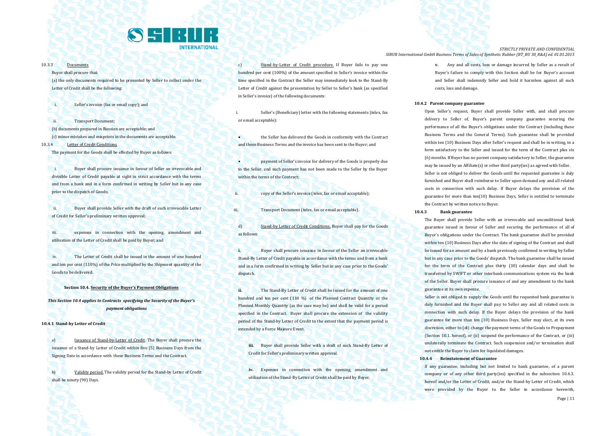

#### 10.3.3 Documents

Buyer shall procure that:

(a) the only documents required to be presented by Seller to collect under the Letter of Credit shall be the following:

i. Seller's invoice (fax or email copy); and

ii. Transport Document; (b) documents prepared in Russian are acceptable; and (c) minor mistakes and misprints in the documents are acceptable. 10.3.4 Letter of Credit Conditions

The payment for the Goods shall be effected by Buyer as follows:

i. Buyer shall procure issuance in favour of Seller an irrevocable and divisible Letter of Credit payable at sight in strict accordance with the terms and from a bank and in a form confirmed in writing by Seller but in any case prior to the dispatch of Goods;

ii. Buyer shall provide Seller with the draft of such irrevocable Letter of Credit for Seller's preliminary written approval;

iii. expenses in connection with the opening, amendment and utilisation of the Letter of Credit shall be paid by Buyer; and

iv. The Letter of Credit shall be issued in the amount of one hundred and ten per cent (110%) of the Price multiplied by the Shipment quantity of the Goods to be delivered.

#### **Section 10.4. Security of the Buyer's Payment Obligations**

*This Section 10.4 applies to Contracts specifying the Security of the Buyer's payment obligations*

**10.4.1 Stand-by Letter of Credit**

a) Issuance of Stand-by-Letter of Credit. The Buyer shall procure the issuance of a Stand-by Letter of Credit within five (5) Business Days from the Signing Date in accordance with these Business Terms and the Contract.

b) Validity period. The validity period for the Stand-by Letter of Credit shall be ninety (90) Days.

c) Stand-by-Letter of Credit procedure. If Buyer fails to pay one hundred per cent (100%) of the amount specified in Seller's invoice within the time specified in the Contract the Seller may immediately look to the Stand-By Letter of Credit against the presentation by Seller to Seller's bank (as specified in Seller's invoice) of the following documents:

Seller's (Beneficiary) letter with the following statements (telex, fax or email acceptable):

 the Seller has delivered the Goods in conformity with the Contract and these Business Terms and the invoice has been sent to the Buyer; and

 payment of Seller's invoice for delivery of the Goods is properly due to the Seller, and such payment has not been made to the Seller by the Buyer within the terms of the Contract:

ii. copy of the Seller's invoice (telex, fax or email acceptable);

iii. Transport Document (telex, fax or email acceptable).

d) Stand-by Letter of Credit Conditions. Buyer shall pay for the Goods as follows:

**i.** Buyer shall procure issuance in favour of the Seller an irrevocable Stand-By Letter of Credit payable in accordance with the terms and from a bank and in a form confirmed in writing by Seller but in any case prior to the Goods' dispatch.

**ii.** The Stand-By Letter of Credit shall be issued for the amount of one hundred and ten per cent (110 %) of the Planned Contract Quantity or the Planned Monthly Quantity (as the case may be) and shall be valid for a period specified in the Contract. Buyer shall procure the extension of the validity period of the Stand-by Letter of Credit to the extent that the payment period is extended by a Force Majeure Event.

**iii.** Buyer shall provide Seller with a draft of such Stand-By Letter of Credit for Seller's preliminary written approval.

**iv.** Expenses in connection with the opening, amendment and utilisation of the Stand-By Letter of Credit shall be paid by Buyer.

*STRICTLY PRIVATE AND CONFIDENTIAL SIBUR International GmbH Business Terms of Sales of Synthetic Rubber (BT\_BU 30\_R&A) ed. 01.01.2015*

> **v.** Any and all costs, loss or damage incurred by Seller as a result of Buyer's failure to comply with this Section shall be for Buyer's account and Seller shall indemnify Seller and hold it harmless against all such costs, loss and damage.

#### **10.4.2 Parent company guarantee**

Upon Seller's request, Buyer shall provide Seller with, and shall procure delivery to Seller of, Buyer's parent company guarantee securing the performance of all the Buyer's obligations under the Contract (including these Business Terms and the General Terms). Such guarantee shall be provided within ten (10) Business Days after Seller's request and shall be in writing, in a form satisfactory to the Seller and issued for the term of the Contract plus six (6) months. If Buyer has no parent company satisfactory to Seller, the guarantee may be issued by an Affiliate(s) or other third party(ies) as agreed with Seller. Seller is not obliged to deliver the Goods until the requested guarantee is duly furnished and Buyer shall reimburse to Seller upon demand any and all related costs in connection with such delay. If Buyer delays the provision of the guarantee for more than ten(10) Business Days, Seller is entitled to terminate the Contract by written notice to Buyer.

#### **10.4.3 Bank guarantee**

The Buyer shall provide Seller with an irrevocable and unconditional bank guarantee issued in favour of Seller and securing the performance of all of Buyer's obligations under the Contract. The bank guarantee shall be provided within ten (10) Business Days after the date of signing of the Contract and shall be issued for an amount and by a bank previously confirmed in writing by Seller but in any case prior to the Goods' dispatch. The bank guarantee shall be issued for the term of the Contract plus thirty (30) calendar days and shall be transferred by SWIFT or other interbank communications system via the bank of the Seller. Buyer shall procure issuance of and any amendment to the bank guarantee at its own expense.

Seller is not obliged to supply the Goods until the requested bank guarantee is duly furnished and the Buyer shall pay to Seller any and all related costs in connection with such delay. If the Buyer delays the provision of the bank guarantee for more than ten (10) Business Days, Seller may elect, at its own discretion, either to (di) change the payment terms of the Goods to Prepayment (Section 10.1. hereof), or (ii) suspend the performance of the Contract, or (iii) unilaterally terminate the Contract. Such suspension and/or termination shall not entitle the Buyer to claim for liquidated damages.

#### **10.4.4 Reinstatement of Guarantee**

If any guarantee, including but not limited to bank guarantee, of a parent company or of any other third party(ies) specified in the subsection 10.4.3. hereof and/or the Letter of Credit, and/or the Stand-by Letter of Credit, which were provided by the Buyer to the Seller in accordance herewith,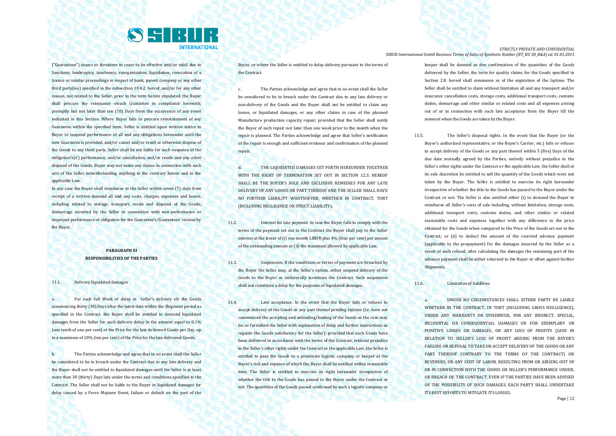

("Guarantees") ceases or threatens to cease to be effective and/or valid due to Sanctions, bankruptcy, insolvency, reorganization, liquidation, revocation of a licence or similar proceedings in respect of bank, parent company or any other third party(ies) specified in the subsection 10.4.2. hereof, and/or for any other reason, not related to the Seller, prior to the term herein stipulated, the Buyer shall procure the reissuance ofsuch Guarantee in compliance herewith, promptly but not later than ten (10) Days from the occurrence of any event indicated in this Section. Where Buyer fails to procure reinstatement of any Guarantee within the specified term, Seller is entitled upon written notice to Buyer to suspend performance of all and any obligations hereunder until the new Guarantee is provided, and/or cancel and/or resell or otherwise dispose of the Goods to any third party. Seller shall be not liable for such suspense of the obligation's(s') performance, and/or cancellation, and/or resale and any other disposal of the Goods. Buyer may not make any claims in connection with such acts of the Seller notwithstanding anything to the contrary herein and in the applicable Law

In any case the Buyer shall reimburse to the Seller within seven (7) days from receipt of a written demand all and any costs, charges, expenses and losses, including related to storage, transport, resale and disposal of the Goods, demurrage incurred by the Seller in connection with non-performance or improper performance of obligation for the Guarantee's/Guarantees' reissue by the Buyer.

## **PARAGRAPH XI RESPONSIBILITIES OF THE PARTIES**

#### 11.1. Delivery liquidated damages

a. For each full Week of delay in Seller's delivery ofs the Goods commencing thirty (30) Days after the latest date within the Shipment period as specified in the Contract, the Buyer shall be entitled to demand liquidated damages from the Seller for such delivery delay in the amount equal to 0.1% (one tenth of one per cent) of the Price for the late delivered Goods per Day, up to a maximum of 10% (ten per cent) of the Price for the late delivered Goods.

b. The Parties acknowledge and agree that in no event shall the Seller be considered to be in breach under the Contract due to any late delivery and the Buyer shall not be entitled to liquidated damages until the Seller is at least more than 30 (thirty) Days late under the terms and conditions specified in the Contract. The Seller shall not be liable to the Buyer in liquidated damages for delay caused by a Force Majeure Event, failure or default on the part of the

Buyer, or where the Seller is entitled to delay delivery pursuant to the terms of the Contract.

c. The Parties acknowledge and agree that in no event shall the Seller be considered to be in breach under the Contract due to any late delivery or non-delivery of the Goods and the Buyer shall not be entitled to claim any losses, or liquidated damages, or any other claims in case of the planned Manufacture production capacity repair; provided that the Seller shall notify the Buyer of such repair not later than one week prior to the month when the repair is planned. The Parties acknowledge and agree that Seller's notification of the repair is enough and sufficient evidence and confirmation of the planned repair

d. THE LIQUIDATED DAMAGES SET FORTH HEREUNDER TOGETHER WITH THE RIGHT OF TERMINATION SET OUT IN SECTION 12.3. HEREOF SHALL BE THE BUYER'S SOLE AND EXCLUSIVE REMEDIES FOR ANY LATE DELIVERY OF ANY GOODS OR PART THEREOF AND THE SELLER SHALL HAVE NO FURTHER LIABILITY WHATSOEVER, WHETHER IN CONTRACT, TORT (INCLUDING NEGLIGENCE OR STRICT LIABILITY).

11.2. Interest for late payment. In case the Buyer fails to comply with the terms of the payment set out in the Contract the Buyer shall pay to the Seller interest at the lesser of (i) one month LIBOR plus 4% (four per cent) per annum of the outstanding amount or (ii) the maximum allowed by applicable Law.

11.3. Suspension. If the conditions or terms of payment are breached by the Buyer the Seller may, at the Seller's option, either suspend delivery of the Goods to the Buyer or unilaterally terminate the Contract. Such suspension shall not constitute a delay for the purposes of liquidated damages.

11.4. Late acceptance. In the event that the Buyer fails or refuses to accept delivery of the Goods or any part thereof pending laytime (i.e. have not commenced the accepting and unloading/loading of the Goods as the case may be; or furnished the Seller with explanation of delay and further instructions as regards the Goods satisfactory for the Seller); provided that such Goods have been delivered in accordance with the terms of the Contract, without prejudice to the Seller's other rights under the Contract or the applicable Law, the Seller is entitled to pass the Goods to a proximate logistic company or keeper at the Buyer's risk and expense of which the Buyer shall be notified within reasonable time. The Seller is entitled to exercise its right hereunder irrespective of whether the title to the Goods has passed to the Buyer under the Contract or not. The quantities of the Goods passed confirmed by such a logistic company or

*STRICTLY PRIVATE AND CONFIDENTIAL SIBUR International GmbH Business Terms of Sales of Synthetic Rubber (BT\_BU 30\_R&A) ed. 01.01.2015*

> keeper shall be deemed as due confirmation of the quantities of the Goods delivered by the Seller; the term for quality claims for the Goods specified in Section 2.8, hereof shall commence as of the expiration of the laytime. The Seller shall be entitled to claim without limitation all and any transport and/or insurance cancellation costs, storage costs, additional transport costs, customs duties, demurrage and other similar or related costs and all expenses arising out of or in connection with such late acceptance from the Buyer till the moment when the Goods are taken by the Buyer.

11.5. The Seller's disposal rights. In the event that the Buyer (or the Buyer's authorized representative, or the Buyer's Carrier, etc.) fails or refuses to accept delivery of the Goods or any part thereof within 5 (five) Days of the due date mutually agreed by the Parties, entirely without prejudice to the Seller's other rights under the Contract or the applicable Law, the Seller shall at its sole discretion be entitled to sell the quantity of the Goods which were not taken by the Buyer. The Seller is entitled to exercise its right hereunder irrespective of whether the title to the Goods has passed to the Buyer under the Contract or not. The Seller is also entitled either (i) to demand the Buyer to reimburse all Seller's costs of sale including, without limitation, storage costs, additional transport costs, customs duties, and other similar or related reasonable costs and expenses together with any difference in the price obtained for the Goods when compared to the Price of the Goods set out in the Contract; or (ii) to deduct the amount of the received advance payment (applicable to the prepayment) for the damages incurred by the Seller as a result of such refusal; after calculating the damages the remaining part of the advance payment shall be either returned to the Buyer or offset against further Shipments.

#### 11.6. **Limitation of liabilities**

a. UNDER NO CIRCUMSTANCES SHALL EITHER PARTY BE LIABLE WHETHER IN THE CONTRACT, IN TORT (INCLUDING GROSS NEGLIGENCE) UNDER ANY WARRANTY OR OTHERWISE, FOR ANY INDIRECT, SPECIAL, INCIDENTAL OR CONSEQUENTIAL DAMAGES OR FOR EXEMPLARY OR PUNITIVE LOSSES OR DAMAGES, OR ANY LOSS OF PROFITS (SAVE IN RELATION TO SELLER'S LOSS OF PROFIT ARISING FROM THE BUYER'S FAILURE OR REFUSAL TO TAKE OR ACCEPT DELIVERY OF THE GOODS OR ANY PART THEREOF CONTRARY TO THE TERMS OF THE CONTRACT) OR REVENUES, OR ANY COST OF LABOR, RESULTING FROM OR ARISING OUT OF OR IN CONNECTION WITH THE GOODS OR SELLER'S PERFORMANCE UNDER. OR BREACH OF, THE CONTRACT, EVEN IF THE PARTIES HAVE BEEN ADVISED OF THE POSSIBILITY OF SUCH DAMAGES. EACH PARTY SHALL UNDERTAKE ITS BEST EFFORTS TO MITIGATE ITS LOSSES.

Page | 12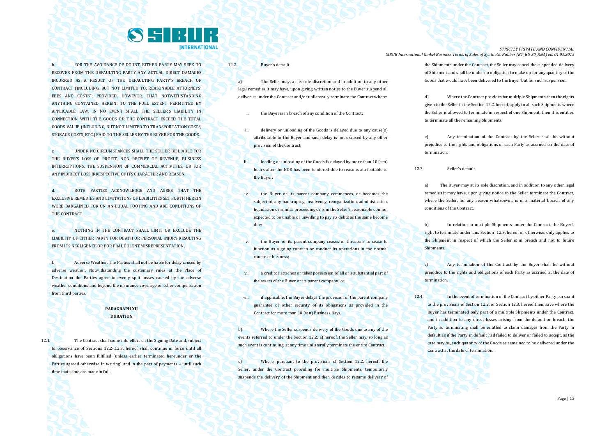## SSRIB **INTERNATIONAL**

b. FOR THE AVOIDANCE OF DOUBT, EITHER PARTY MAY SEEK TO RECOVER FROM THE DEFAULTING PARTY ANY ACTUAL DIRECT DAMAGES INCURRED AS A RESULT OF THE DEFAULTING PARTY'S BREACH OF CONTRACT (INCLUDING, BUT NOT LIMITED TO, REASONABLE ATTORNEYS' FEES AND COSTS); PROVIDED, HOWEVER, THAT NOTWITHSTANDING ANYTHING CONTAINED HEREIN, TO THE FULL EXTENT PERMITTED BY APPLICABLE LAW, IN NO EVENT SHALL THE SELLER'S LIABILITY IN CONNECTION WITH THE GOODS OR THE CONTRACT EXCEED THE TOTAL GOODS VALUE (INCLUDING, BUT NOT LIMITED TO TRANSPORTATION COSTS, STORAGE COSTS, ETC.) PAID TO THE SELLER BY THE BUYER FOR THE GOODS.

c. UNDER NO CIRCUMSTANCES SHALL THE SELLER BE LIABLE FOR THE BUYER'S LOSS OF PROFIT, NON RECEIPT OF REVENUE, BUSINESS INTERRUPTIONS, THE SUSPENSION OF COMMERCIAL ACTIVITIES, OR FOR ANY INDIRECT LOSS IRRESPECTIVE OF ITS CHARACTER AND REASON.

d. BOTH PARTIES ACKNOWLEDGE AND AGREE THAT THE EXCLUSIVE REMEDIES AND LIMITATIONS OF LIABILITIES SET FORTH HEREIN WERE BARGAINED FOR ON AN EQUAL FOOTING AND ARE CONDITIONS OF THE CONTRACT.

e. NOTHING IN THE CONTRACT SHALL LIMIT OR EXCLUDE THE LIABILITY OF EITHER PARTY FOR DEATH OR PERSONAL INJURY RESULTING FROM ITS NEGLIGENCE OR FOR FRAUDULENT MISREPRESENTATION.

f. Adverse Weather. The Parties shall not be liable for delay caused by adverse weather. Notwithstanding the customary rules at the Place of Destination the Parties agree to evenly split losses caused by the adverse weather conditions and beyond the insurance coverage or other compensation from third parties.

#### **PARAGRAPH XII DURATION**

12.1. The Contract shall come into effect on the Signing Date and, subject to observance of Sections 12.2-.12.3. hereof shall continue in force until all obligations have been fulfilled (unless earlier terminated hereunder or the Parties agreed otherwise in writing) and in the part of payments – until such time that same are made in full.

12.2. Buyer's default

a) The Seller may, at its sole discretion and in addition to any other legal remedies it may have, upon giving written notice to the Buyer suspend all deliveries under the Contract and/or unilaterally terminate the Contract where:

the Buyer is in breach of any condition of the Contract;

- delivery or unloading of the Goods is delayed due to any cause(s) attributable to the Buyer and such delay is not excused by any other provision of the Contract;
- iii. loading or unloading of the Goods is delayed by more than 10 (ten) hours after the NOR has been tendered due to reasons attributable to the Buyer;
- iv. the Buyer or its parent company commences, or becomes the subject of, any bankruptcy, insolvency, reorganization, administration, liquidation or similar proceeding or is in the Seller's reasonable opinion expected to be unable or unwilling to pay its debts as the same become due;
- the Buyer or its parent company ceases or threatens to cease to function as a going concern or conduct its operations in the normal course of business;
- vi. a creditor attaches or takes possession of all or a substantial part of the assets of the Buyer or its parent company; or
- vii. if applicable, the Buyer delays the provision of the parent company guarantee or other security of its obligations as provided in the Contract for more than 10 (ten) Business Days.

b) Where the Seller suspends delivery of the Goods due to any of the events referred to under the Section 12.2. a) hereof, the Seller may, so long as such event is continuing, at any time unilaterally terminate the entire Contract.

c) Where, pursuant to the provisions of Section 12.2. hereof, the Seller, under the Contract providing for multiple Shipments, temporarily suspends the delivery of the Shipment and then decides to resume delivery of

*STRICTLY PRIVATE AND CONFIDENTIAL SIBUR International GmbH Business Terms of Sales of Synthetic Rubber (BT\_BU 30\_R&A) ed. 01.01.2015*

> the Shipments under the Contract, the Seller may cancel the suspended delivery of Shipment and shall be under no obligation to make up for any quantity of the Goods that would have been delivered to the Buyer but for such suspension.

> d) Where the Contract provides for multiple Shipments then the rights given to the Seller in the Section 12.2. hereof, apply to all such Shipments where the Seller is allowed to terminate in respect of one Shipment, then it is entitled to terminate all the remaining Shipments.

> e) Any termination of the Contract by the Seller shall be without prejudice to the rights and obligations of each Party as accrued on the date of termination.

12.3. Seller's default

a) The Buyer may at its sole discretion, and in addition to any other legal remedies it may have, upon giving notice to the Seller terminate the Contract, where the Seller, for any reason whatsoever, is in a material breach of any conditions of the Contract.

b) In relation to multiple Shipments under the Contract, the Buyer's right to terminate under this Section 12.3. hereof or otherwise, only applies to the Shipment in respect of which the Seller is in breach and not to future Shipments.

c) Any termination of the Contract by the Buyer shall be without prejudice to the rights and obligations of each Party as accrued at the date of termination.

12.4. In the event of termination of the Contract by either Party pursuant to the provisions of Section 12.2. or Section 12.3. hereof then, save where the Buyer has terminated only part of a multiple Shipments under the Contract, and in addition to any direct losses arising from the default or breach, the Party so terminating shall be entitled to claim damages from the Party in default as if the Party in default had failed to deliver or failed to accept, as the case may be, such quantity of the Goods as remained to be delivered under the Contract at the date of termination.